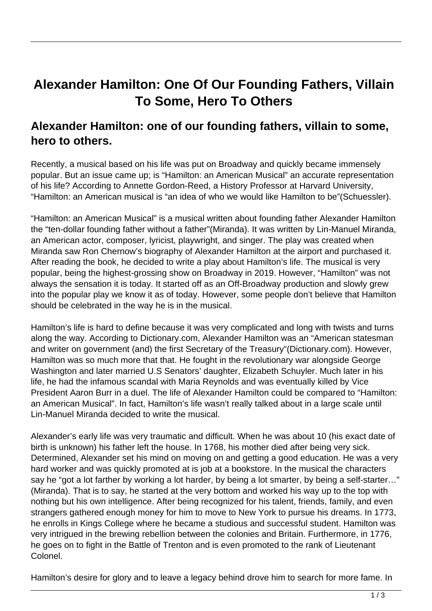## **Alexander Hamilton: One Of Our Founding Fathers, Villain To Some, Hero To Others**

## **Alexander Hamilton: one of our founding fathers, villain to some, hero to others.**

Recently, a musical based on his life was put on Broadway and quickly became immensely popular. But an issue came up; is "Hamilton: an American Musical" an accurate representation of his life? According to Annette Gordon-Reed, a History Professor at Harvard University, "Hamilton: an American musical is "an idea of who we would like Hamilton to be"(Schuessler).

"Hamilton: an American Musical" is a musical written about founding father Alexander Hamilton the "ten-dollar founding father without a father"(Miranda). It was written by Lin-Manuel Miranda, an American actor, composer, lyricist, playwright, and singer. The play was created when Miranda saw Ron Chernow's biography of Alexander Hamilton at the airport and purchased it. After reading the book, he decided to write a play about Hamilton's life. The musical is very popular, being the highest-grossing show on Broadway in 2019. However, "Hamilton" was not always the sensation it is today. It started off as an Off-Broadway production and slowly grew into the popular play we know it as of today. However, some people don't believe that Hamilton should be celebrated in the way he is in the musical.

Hamilton's life is hard to define because it was very complicated and long with twists and turns along the way. According to Dictionary.com, Alexander Hamilton was an "American statesman and writer on government (and) the first Secretary of the Treasury"(Dictionary.com). However, Hamilton was so much more that that. He fought in the revolutionary war alongside George Washington and later married U.S Senators' daughter, Elizabeth Schuyler. Much later in his life, he had the infamous scandal with Maria Reynolds and was eventually killed by Vice President Aaron Burr in a duel. The life of Alexander Hamilton could be compared to "Hamilton: an American Musical". In fact, Hamilton's life wasn't really talked about in a large scale until Lin-Manuel Miranda decided to write the musical.

Alexander's early life was very traumatic and difficult. When he was about 10 (his exact date of birth is unknown) his father left the house. In 1768, his mother died after being very sick. Determined, Alexander set his mind on moving on and getting a good education. He was a very hard worker and was quickly promoted at is job at a bookstore. In the musical the characters say he "got a lot farther by working a lot harder, by being a lot smarter, by being a self-starter…" (Miranda). That is to say, he started at the very bottom and worked his way up to the top with nothing but his own intelligence. After being recognized for his talent, friends, family, and even strangers gathered enough money for him to move to New York to pursue his dreams. In 1773, he enrolls in Kings College where he became a studious and successful student. Hamilton was very intrigued in the brewing rebellion between the colonies and Britain. Furthermore, in 1776, he goes on to fight in the Battle of Trenton and is even promoted to the rank of Lieutenant Colonel.

Hamilton's desire for glory and to leave a legacy behind drove him to search for more fame. In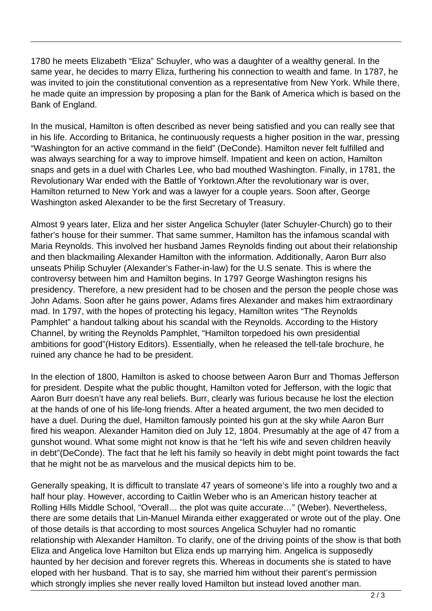1780 he meets Elizabeth "Eliza" Schuyler, who was a daughter of a wealthy general. In the same year, he decides to marry Eliza, furthering his connection to wealth and fame. In 1787, he was invited to join the constitutional convention as a representative from New York. While there, he made quite an impression by proposing a plan for the Bank of America which is based on the Bank of England.

In the musical, Hamilton is often described as never being satisfied and you can really see that in his life. According to Britanica, he continuously requests a higher position in the war, pressing "Washington for an active command in the field" (DeConde). Hamilton never felt fulfilled and was always searching for a way to improve himself. Impatient and keen on action, Hamilton snaps and gets in a duel with Charles Lee, who bad mouthed Washington. Finally, in 1781, the Revolutionary War ended with the Battle of Yorktown.After the revolutionary war is over, Hamilton returned to New York and was a lawyer for a couple years. Soon after, George Washington asked Alexander to be the first Secretary of Treasury.

Almost 9 years later, Eliza and her sister Angelica Schuyler (later Schuyler-Church) go to their father's house for their summer. That same summer, Hamilton has the infamous scandal with Maria Reynolds. This involved her husband James Reynolds finding out about their relationship and then blackmailing Alexander Hamilton with the information. Additionally, Aaron Burr also unseats Philip Schuyler (Alexander's Father-in-law) for the U.S senate. This is where the controversy between him and Hamilton begins. In 1797 George Washington resigns his presidency. Therefore, a new president had to be chosen and the person the people chose was John Adams. Soon after he gains power, Adams fires Alexander and makes him extraordinary mad. In 1797, with the hopes of protecting his legacy, Hamilton writes "The Reynolds Pamphlet" a handout talking about his scandal with the Reynolds. According to the History Channel, by writing the Reynolds Pamphlet, "Hamilton torpedoed his own presidential ambitions for good"(History Editors). Essentially, when he released the tell-tale brochure, he ruined any chance he had to be president.

In the election of 1800, Hamilton is asked to choose between Aaron Burr and Thomas Jefferson for president. Despite what the public thought, Hamilton voted for Jefferson, with the logic that Aaron Burr doesn't have any real beliefs. Burr, clearly was furious because he lost the election at the hands of one of his life-long friends. After a heated argument, the two men decided to have a duel. During the duel, Hamilton famously pointed his gun at the sky while Aaron Burr fired his weapon. Alexander Hamiton died on July 12, 1804. Presumably at the age of 47 from a gunshot wound. What some might not know is that he "left his wife and seven children heavily in debt"(DeConde). The fact that he left his family so heavily in debt might point towards the fact that he might not be as marvelous and the musical depicts him to be.

Generally speaking, It is difficult to translate 47 years of someone's life into a roughly two and a half hour play. However, according to Caitlin Weber who is an American history teacher at Rolling Hills Middle School, "Overall… the plot was quite accurate…" (Weber). Nevertheless, there are some details that Lin-Manuel Miranda either exaggerated or wrote out of the play. One of those details is that according to most sources Angelica Schuyler had no romantic relationship with Alexander Hamilton. To clarify, one of the driving points of the show is that both Eliza and Angelica love Hamilton but Eliza ends up marrying him. Angelica is supposedly haunted by her decision and forever regrets this. Whereas in documents she is stated to have eloped with her husband. That is to say, she married him without their parent's permission which strongly implies she never really loved Hamilton but instead loved another man.